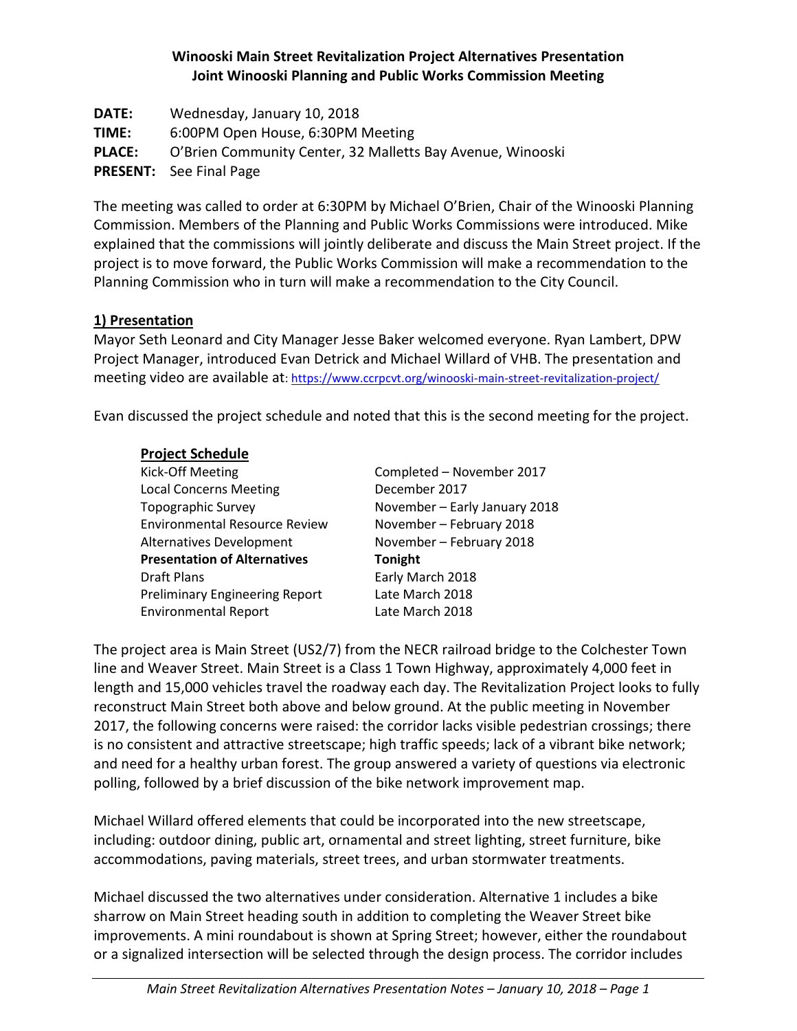# **Winooski Main Street Revitalization Project Alternatives Presentation Joint Winooski Planning and Public Works Commission Meeting**

**DATE:** Wednesday, January 10, 2018 **TIME:** 6:00PM Open House, 6:30PM Meeting **PLACE:** O'Brien Community Center, 32 Malletts Bay Avenue, Winooski **PRESENT:** See Final Page

The meeting was called to order at 6:30PM by Michael O'Brien, Chair of the Winooski Planning Commission. Members of the Planning and Public Works Commissions were introduced. Mike explained that the commissions will jointly deliberate and discuss the Main Street project. If the project is to move forward, the Public Works Commission will make a recommendation to the Planning Commission who in turn will make a recommendation to the City Council.

# **1) Presentation**

Mayor Seth Leonard and City Manager Jesse Baker welcomed everyone. Ryan Lambert, DPW Project Manager, introduced Evan Detrick and Michael Willard of VHB. The presentation and meeting video are available at[: https://www.ccrpcvt.org/winooski-main-street-revitalization-project/](https://www.ccrpcvt.org/winooski-main-street-revitalization-project/)

Evan discussed the project schedule and noted that this is the second meeting for the project.

### **Project Schedule**

| Kick-Off Meeting                      | Completed - November 2017     |
|---------------------------------------|-------------------------------|
| <b>Local Concerns Meeting</b>         | December 2017                 |
| <b>Topographic Survey</b>             | November - Early January 2018 |
| <b>Environmental Resource Review</b>  | November - February 2018      |
| <b>Alternatives Development</b>       | November - February 2018      |
| <b>Presentation of Alternatives</b>   | <b>Tonight</b>                |
| <b>Draft Plans</b>                    | Early March 2018              |
| <b>Preliminary Engineering Report</b> | Late March 2018               |
| <b>Environmental Report</b>           | Late March 2018               |
|                                       |                               |

The project area is Main Street (US2/7) from the NECR railroad bridge to the Colchester Town line and Weaver Street. Main Street is a Class 1 Town Highway, approximately 4,000 feet in length and 15,000 vehicles travel the roadway each day. The Revitalization Project looks to fully reconstruct Main Street both above and below ground. At the public meeting in November 2017, the following concerns were raised: the corridor lacks visible pedestrian crossings; there is no consistent and attractive streetscape; high traffic speeds; lack of a vibrant bike network; and need for a healthy urban forest. The group answered a variety of questions via electronic polling, followed by a brief discussion of the bike network improvement map.

Michael Willard offered elements that could be incorporated into the new streetscape, including: outdoor dining, public art, ornamental and street lighting, street furniture, bike accommodations, paving materials, street trees, and urban stormwater treatments.

Michael discussed the two alternatives under consideration. Alternative 1 includes a bike sharrow on Main Street heading south in addition to completing the Weaver Street bike improvements. A mini roundabout is shown at Spring Street; however, either the roundabout or a signalized intersection will be selected through the design process. The corridor includes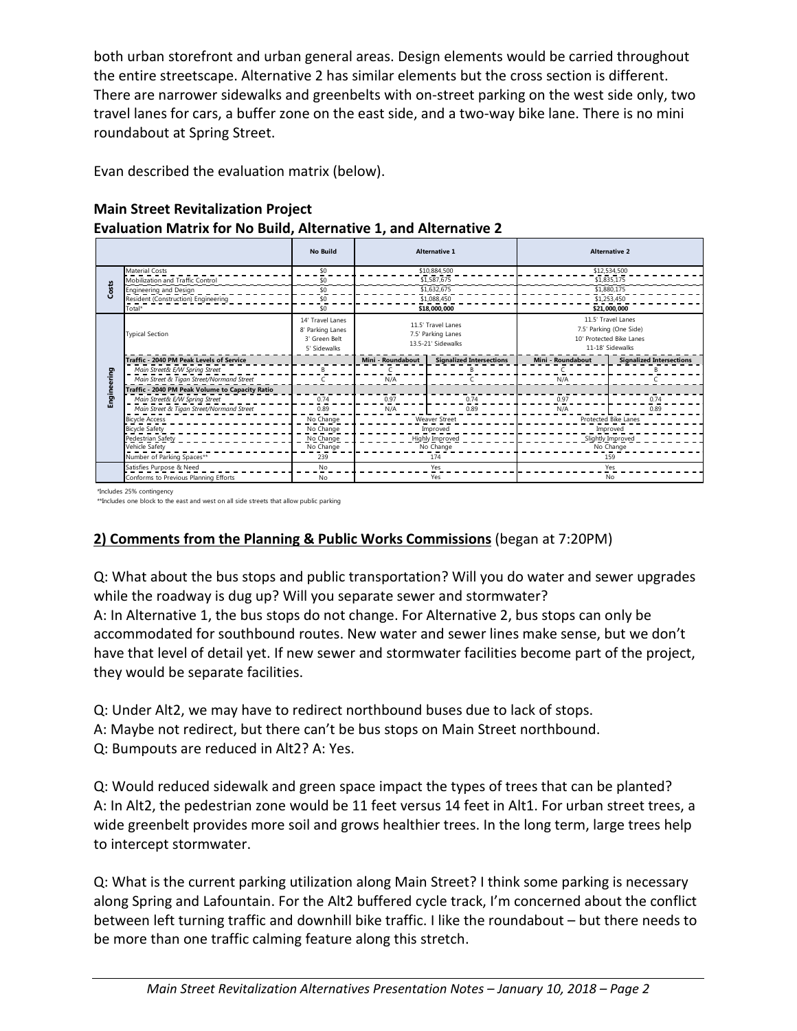both urban storefront and urban general areas. Design elements would be carried throughout the entire streetscape. Alternative 2 has similar elements but the cross section is different. There are narrower sidewalks and greenbelts with on-street parking on the west side only, two travel lanes for cars, a buffer zone on the east side, and a two-way bike lane. There is no mini roundabout at Spring Street.

Evan described the evaluation matrix (below).

# **Main Street Revitalization Project Evaluation Matrix for No Build, Alternative 1, and Alternative 2**

|             |                                                                                                                      | <b>No Build</b>                                                       |                                                                | <b>Alternative 1</b>            |                      | <b>Alternative 2</b>                                                                          |
|-------------|----------------------------------------------------------------------------------------------------------------------|-----------------------------------------------------------------------|----------------------------------------------------------------|---------------------------------|----------------------|-----------------------------------------------------------------------------------------------|
|             | <b>Material Costs</b>                                                                                                | \$0                                                                   | \$10,884,500                                                   |                                 | \$12,534,500         |                                                                                               |
|             | Mobilization and Traffic Control                                                                                     | \$0                                                                   | \$1,587,675                                                    |                                 | \$1,835,175          |                                                                                               |
| Costs       | Engineering and Design                                                                                               | \$0                                                                   | \$1,632,675                                                    |                                 | \$1,880,175          |                                                                                               |
|             | Resident (Construction) Engineering                                                                                  | \$0                                                                   | \$1,088,450                                                    |                                 | \$1,253,450          |                                                                                               |
|             | Total*                                                                                                               | \$0                                                                   | \$18,000,000                                                   |                                 | \$21,000.000         |                                                                                               |
|             | <b>Typical Section</b>                                                                                               | 14' Travel Lanes<br>8' Parking Lanes<br>3' Green Belt<br>5' Sidewalks | 11.5' Travel Lanes<br>7.5' Parking Lanes<br>13.5-21' Sidewalks |                                 |                      | 11.5' Travel Lanes<br>7.5' Parking (One Side)<br>10' Protected Bike Lanes<br>11-18' Sidewalks |
|             | Traffic - 2040 PM Peak Levels of Service                                                                             |                                                                       | Mini - Roundabout                                              | <b>Signalized Intersections</b> | Mini - Roundabout    | <b>Signalized Intersections</b>                                                               |
|             | Main Street& E/W Spring Street                                                                                       | B                                                                     |                                                                |                                 |                      |                                                                                               |
|             | Main Street & Tigan Street/Normand Street                                                                            |                                                                       | N/A                                                            |                                 | N/A                  |                                                                                               |
|             | Traffic - 2040 PM Peak Volume to Capacity Ratio                                                                      |                                                                       |                                                                |                                 |                      |                                                                                               |
| Engineering | Main Street& E/W Spring Street                                                                                       | 0.74                                                                  | 0.97                                                           | 0.74                            | 0.97                 | 0.74                                                                                          |
|             | Main Street & Tigan Street/Normand Street                                                                            | 0.89                                                                  | N/A                                                            | 0.89                            | N/A                  | 0.89                                                                                          |
|             | <b>Bicycle Access</b>                                                                                                | No Change                                                             | <b>Weaver Street</b>                                           |                                 | Protected Bike Lanes |                                                                                               |
|             | <b>Bicycle Safety</b>                                                                                                | No Change                                                             | Improved                                                       |                                 | Improved             |                                                                                               |
|             | Pedestrian Safety                                                                                                    | No Change                                                             | Highly Improved                                                |                                 | Slightly Improved    |                                                                                               |
|             | Vehicle Safety                                                                                                       | No Change                                                             | No Change                                                      |                                 | No Change            |                                                                                               |
|             | Number of Parking Spaces**                                                                                           | 239                                                                   | 174                                                            |                                 | 159                  |                                                                                               |
|             | Satisfies Purpose & Need                                                                                             | N <sub>o</sub>                                                        | Yes                                                            |                                 | Yes                  |                                                                                               |
|             | Conforms to Previous Planning Efforts                                                                                | No                                                                    | Yes                                                            |                                 | No                   |                                                                                               |
|             | *Includes 25% contingency<br>**Includes one block to the east and west on all side streets that allow public parking |                                                                       |                                                                |                                 |                      |                                                                                               |

\*Includes 25% contingency

# **2) Comments from the Planning & Public Works Commissions** (began at 7:20PM)

Q: What about the bus stops and public transportation? Will you do water and sewer upgrades while the roadway is dug up? Will you separate sewer and stormwater? A: In Alternative 1, the bus stops do not change. For Alternative 2, bus stops can only be accommodated for southbound routes. New water and sewer lines make sense, but we don't have that level of detail yet. If new sewer and stormwater facilities become part of the project, they would be separate facilities.

Q: Under Alt2, we may have to redirect northbound buses due to lack of stops.

A: Maybe not redirect, but there can't be bus stops on Main Street northbound.

Q: Bumpouts are reduced in Alt2? A: Yes.

Q: Would reduced sidewalk and green space impact the types of trees that can be planted? A: In Alt2, the pedestrian zone would be 11 feet versus 14 feet in Alt1. For urban street trees, a wide greenbelt provides more soil and grows healthier trees. In the long term, large trees help to intercept stormwater.

Q: What is the current parking utilization along Main Street? I think some parking is necessary along Spring and Lafountain. For the Alt2 buffered cycle track, I'm concerned about the conflict between left turning traffic and downhill bike traffic. I like the roundabout – but there needs to be more than one traffic calming feature along this stretch.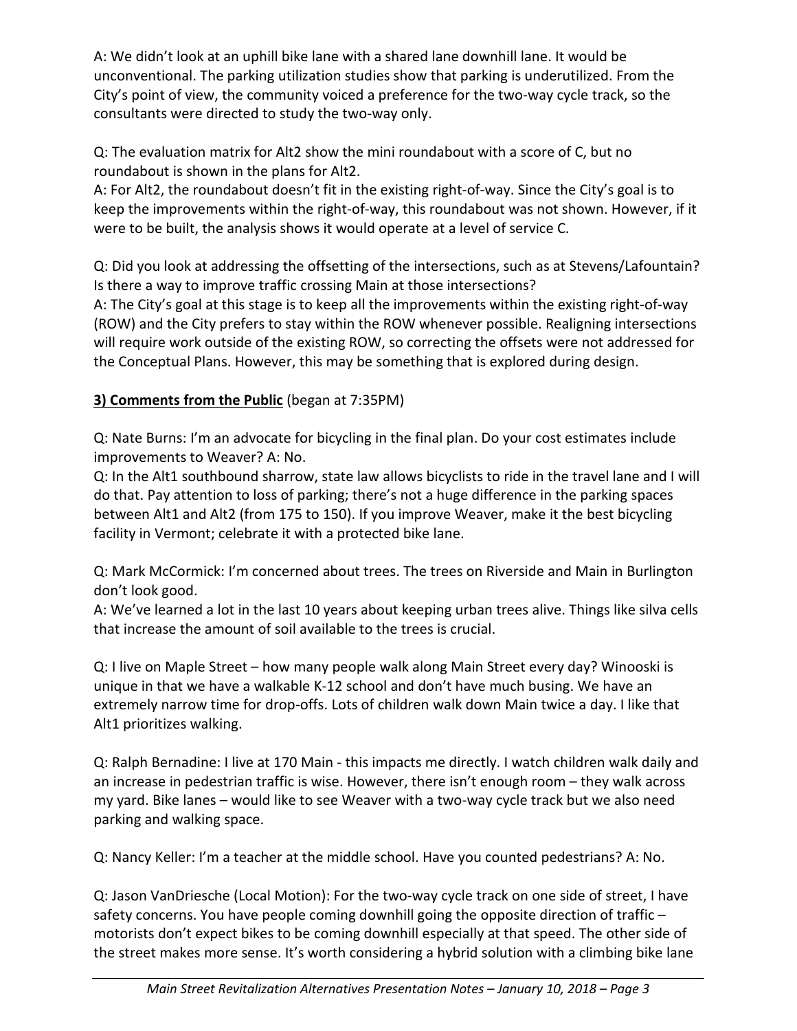A: We didn't look at an uphill bike lane with a shared lane downhill lane. It would be unconventional. The parking utilization studies show that parking is underutilized. From the City's point of view, the community voiced a preference for the two-way cycle track, so the consultants were directed to study the two-way only.

Q: The evaluation matrix for Alt2 show the mini roundabout with a score of C, but no roundabout is shown in the plans for Alt2.

A: For Alt2, the roundabout doesn't fit in the existing right-of-way. Since the City's goal is to keep the improvements within the right-of-way, this roundabout was not shown. However, if it were to be built, the analysis shows it would operate at a level of service C.

Q: Did you look at addressing the offsetting of the intersections, such as at Stevens/Lafountain? Is there a way to improve traffic crossing Main at those intersections?

A: The City's goal at this stage is to keep all the improvements within the existing right-of-way (ROW) and the City prefers to stay within the ROW whenever possible. Realigning intersections will require work outside of the existing ROW, so correcting the offsets were not addressed for the Conceptual Plans. However, this may be something that is explored during design.

# **3) Comments from the Public** (began at 7:35PM)

Q: Nate Burns: I'm an advocate for bicycling in the final plan. Do your cost estimates include improvements to Weaver? A: No.

Q: In the Alt1 southbound sharrow, state law allows bicyclists to ride in the travel lane and I will do that. Pay attention to loss of parking; there's not a huge difference in the parking spaces between Alt1 and Alt2 (from 175 to 150). If you improve Weaver, make it the best bicycling facility in Vermont; celebrate it with a protected bike lane.

Q: Mark McCormick: I'm concerned about trees. The trees on Riverside and Main in Burlington don't look good.

A: We've learned a lot in the last 10 years about keeping urban trees alive. Things like silva cells that increase the amount of soil available to the trees is crucial.

Q: I live on Maple Street – how many people walk along Main Street every day? Winooski is unique in that we have a walkable K-12 school and don't have much busing. We have an extremely narrow time for drop-offs. Lots of children walk down Main twice a day. I like that Alt1 prioritizes walking.

Q: Ralph Bernadine: I live at 170 Main - this impacts me directly. I watch children walk daily and an increase in pedestrian traffic is wise. However, there isn't enough room – they walk across my yard. Bike lanes – would like to see Weaver with a two-way cycle track but we also need parking and walking space.

Q: Nancy Keller: I'm a teacher at the middle school. Have you counted pedestrians? A: No.

Q: Jason VanDriesche (Local Motion): For the two-way cycle track on one side of street, I have safety concerns. You have people coming downhill going the opposite direction of traffic – motorists don't expect bikes to be coming downhill especially at that speed. The other side of the street makes more sense. It's worth considering a hybrid solution with a climbing bike lane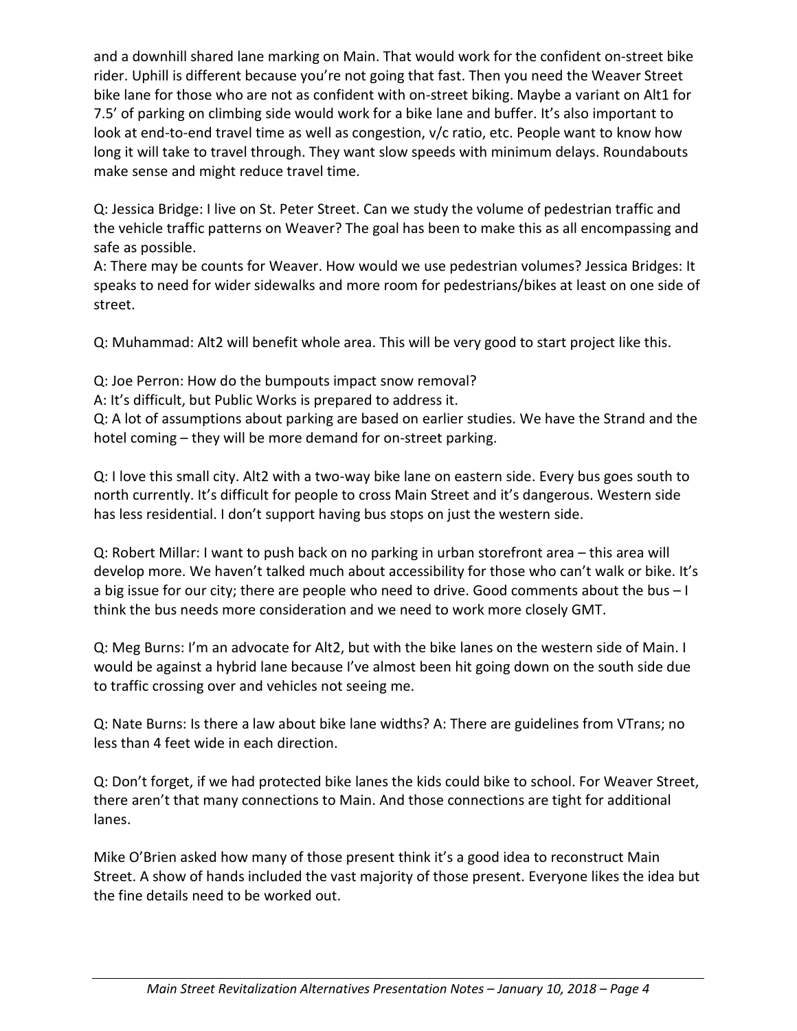and a downhill shared lane marking on Main. That would work for the confident on-street bike rider. Uphill is different because you're not going that fast. Then you need the Weaver Street bike lane for those who are not as confident with on-street biking. Maybe a variant on Alt1 for 7.5' of parking on climbing side would work for a bike lane and buffer. It's also important to look at end-to-end travel time as well as congestion, v/c ratio, etc. People want to know how long it will take to travel through. They want slow speeds with minimum delays. Roundabouts make sense and might reduce travel time.

Q: Jessica Bridge: I live on St. Peter Street. Can we study the volume of pedestrian traffic and the vehicle traffic patterns on Weaver? The goal has been to make this as all encompassing and safe as possible.

A: There may be counts for Weaver. How would we use pedestrian volumes? Jessica Bridges: It speaks to need for wider sidewalks and more room for pedestrians/bikes at least on one side of street.

Q: Muhammad: Alt2 will benefit whole area. This will be very good to start project like this.

Q: Joe Perron: How do the bumpouts impact snow removal?

A: It's difficult, but Public Works is prepared to address it.

Q: A lot of assumptions about parking are based on earlier studies. We have the Strand and the hotel coming – they will be more demand for on-street parking.

Q: I love this small city. Alt2 with a two-way bike lane on eastern side. Every bus goes south to north currently. It's difficult for people to cross Main Street and it's dangerous. Western side has less residential. I don't support having bus stops on just the western side.

Q: Robert Millar: I want to push back on no parking in urban storefront area – this area will develop more. We haven't talked much about accessibility for those who can't walk or bike. It's a big issue for our city; there are people who need to drive. Good comments about the bus – I think the bus needs more consideration and we need to work more closely GMT.

Q: Meg Burns: I'm an advocate for Alt2, but with the bike lanes on the western side of Main. I would be against a hybrid lane because I've almost been hit going down on the south side due to traffic crossing over and vehicles not seeing me.

Q: Nate Burns: Is there a law about bike lane widths? A: There are guidelines from VTrans; no less than 4 feet wide in each direction.

Q: Don't forget, if we had protected bike lanes the kids could bike to school. For Weaver Street, there aren't that many connections to Main. And those connections are tight for additional lanes.

Mike O'Brien asked how many of those present think it's a good idea to reconstruct Main Street. A show of hands included the vast majority of those present. Everyone likes the idea but the fine details need to be worked out.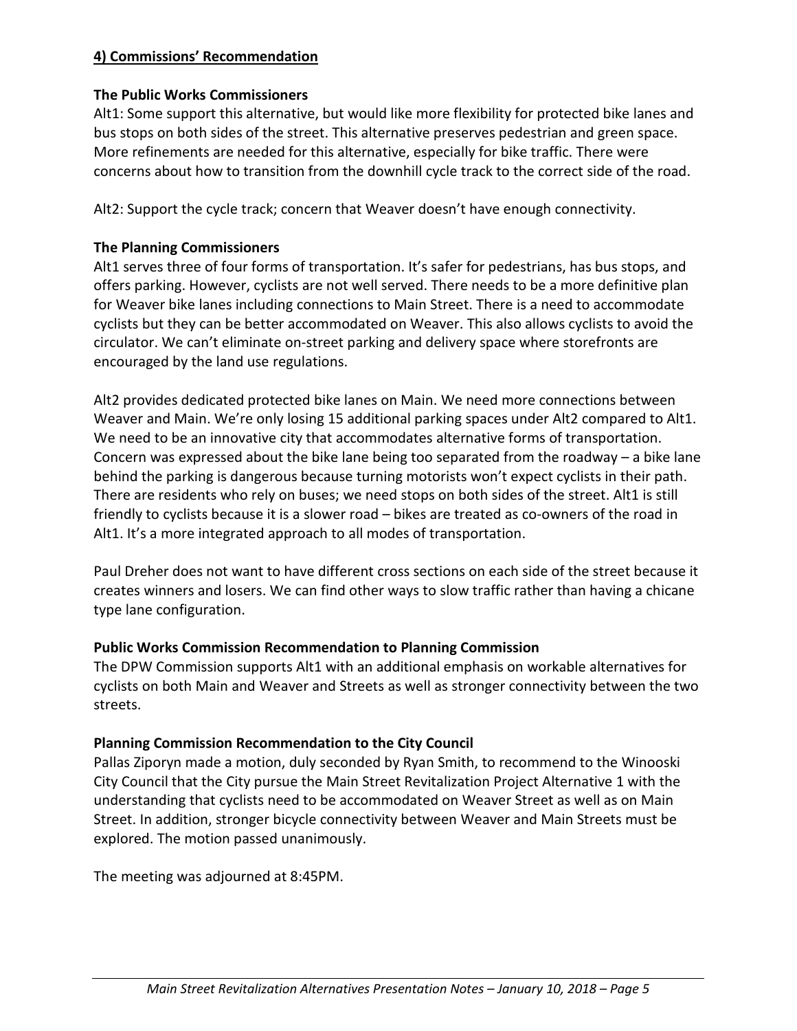# **4) Commissions' Recommendation**

#### **The Public Works Commissioners**

Alt1: Some support this alternative, but would like more flexibility for protected bike lanes and bus stops on both sides of the street. This alternative preserves pedestrian and green space. More refinements are needed for this alternative, especially for bike traffic. There were concerns about how to transition from the downhill cycle track to the correct side of the road.

Alt2: Support the cycle track; concern that Weaver doesn't have enough connectivity.

# **The Planning Commissioners**

Alt1 serves three of four forms of transportation. It's safer for pedestrians, has bus stops, and offers parking. However, cyclists are not well served. There needs to be a more definitive plan for Weaver bike lanes including connections to Main Street. There is a need to accommodate cyclists but they can be better accommodated on Weaver. This also allows cyclists to avoid the circulator. We can't eliminate on-street parking and delivery space where storefronts are encouraged by the land use regulations.

Alt2 provides dedicated protected bike lanes on Main. We need more connections between Weaver and Main. We're only losing 15 additional parking spaces under Alt2 compared to Alt1. We need to be an innovative city that accommodates alternative forms of transportation. Concern was expressed about the bike lane being too separated from the roadway – a bike lane behind the parking is dangerous because turning motorists won't expect cyclists in their path. There are residents who rely on buses; we need stops on both sides of the street. Alt1 is still friendly to cyclists because it is a slower road – bikes are treated as co-owners of the road in Alt1. It's a more integrated approach to all modes of transportation.

Paul Dreher does not want to have different cross sections on each side of the street because it creates winners and losers. We can find other ways to slow traffic rather than having a chicane type lane configuration.

### **Public Works Commission Recommendation to Planning Commission**

The DPW Commission supports Alt1 with an additional emphasis on workable alternatives for cyclists on both Main and Weaver and Streets as well as stronger connectivity between the two streets.

### **Planning Commission Recommendation to the City Council**

Pallas Ziporyn made a motion, duly seconded by Ryan Smith, to recommend to the Winooski City Council that the City pursue the Main Street Revitalization Project Alternative 1 with the understanding that cyclists need to be accommodated on Weaver Street as well as on Main Street. In addition, stronger bicycle connectivity between Weaver and Main Streets must be explored. The motion passed unanimously.

The meeting was adjourned at 8:45PM.